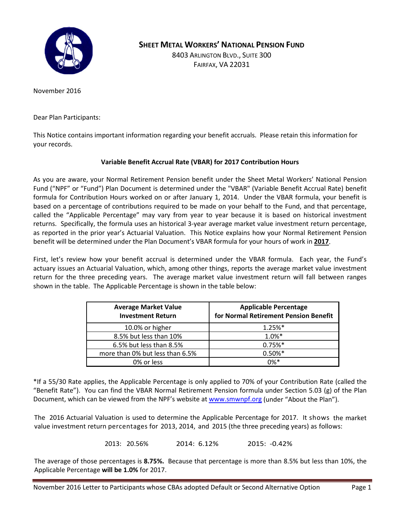

**SHEET METAL WORKERS' NATIONAL PENSION FUND**

8403 ARLINGTON BLVD., SUITE 300 FAIRFAX, VA 22031

November 2016

Dear Plan Participants:

This Notice contains important information regarding your benefit accruals. Please retain this information for your records.

### **Variable Benefit Accrual Rate (VBAR) for 2017 Contribution Hours**

As you are aware, your Normal Retirement Pension benefit under the Sheet Metal Workers' National Pension Fund ("NPF" or "Fund") Plan Document is determined under the "VBAR" (Variable Benefit Accrual Rate) benefit formula for Contribution Hours worked on or after January 1, 2014. Under the VBAR formula, your benefit is based on a percentage of contributions required to be made on your behalf to the Fund, and that percentage, called the "Applicable Percentage" may vary from year to year because it is based on historical investment returns. Specifically, the formula uses an historical 3-year average market value investment return percentage, as reported in the prior year's Actuarial Valuation. This Notice explains how your Normal Retirement Pension benefit will be determined under the Plan Document's VBAR formula for your hours of work in **2017**.

First, let's review how your benefit accrual is determined under the VBAR formula. Each year, the Fund's actuary issues an Actuarial Valuation, which, among other things, reports the average market value investment return for the three preceding years. The average market value investment return will fall between ranges shown in the table. The Applicable Percentage is shown in the table below:

| <b>Average Market Value</b><br><b>Investment Return</b> | <b>Applicable Percentage</b><br>for Normal Retirement Pension Benefit |
|---------------------------------------------------------|-----------------------------------------------------------------------|
| 10.0% or higher                                         | $1.25%$ *                                                             |
| 8.5% but less than 10%                                  | $1.0%$ *                                                              |
| 6.5% but less than 8.5%                                 | $0.75%$ *                                                             |
| more than 0% but less than 6.5%                         | $0.50\%*$                                                             |
| 0% or less                                              | በ%*                                                                   |

\*If a 55/30 Rate applies, the Applicable Percentage is only applied to 70% of your Contribution Rate (called the "Benefit Rate"). You can find the VBAR Normal Retirement Pension formula under Section 5.03 (g) of the Plan Document, which can be viewed from the NPF's website at [www.smwnpf.org](http://www.smwnpf.org/) (under "About the Plan").

The 2016 Actuarial Valuation is used to determine the Applicable Percentage for 2017. It shows the market value investment return percentages for 2013, 2014, and 2015 (the three preceding years) as follows:

2013: 20.56% 2014: 6.12% 2015: -0.42%

The average of those percentages is **8.75%.** Because that percentage is more than 8.5% but less than 10%, the Applicable Percentage **will be 1.0%** for 2017.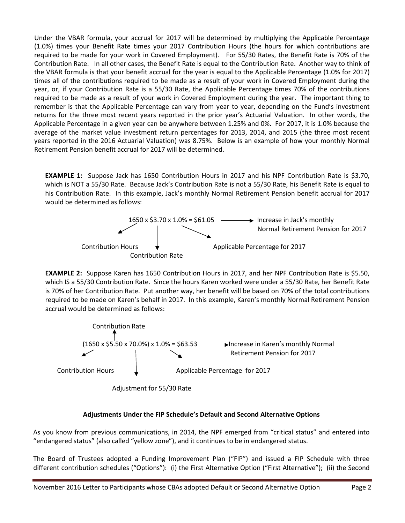Under the VBAR formula, your accrual for 2017 will be determined by multiplying the Applicable Percentage (1.0%) times your Benefit Rate times your 2017 Contribution Hours (the hours for which contributions are required to be made for your work in Covered Employment). For 55/30 Rates, the Benefit Rate is 70% of the Contribution Rate. In all other cases, the Benefit Rate is equal to the Contribution Rate. Another way to think of the VBAR formula is that your benefit accrual for the year is equal to the Applicable Percentage (1.0% for 2017) times all of the contributions required to be made as a result of your work in Covered Employment during the year, or, if your Contribution Rate is a 55/30 Rate, the Applicable Percentage times 70% of the contributions required to be made as a result of your work in Covered Employment during the year. The important thing to remember is that the Applicable Percentage can vary from year to year, depending on the Fund's investment returns for the three most recent years reported in the prior year's Actuarial Valuation. In other words, the Applicable Percentage in a given year can be anywhere between 1.25% and 0%. For 2017, it is 1.0% because the average of the market value investment return percentages for 2013, 2014, and 2015 (the three most recent years reported in the 2016 Actuarial Valuation) was 8.75%. Below is an example of how your monthly Normal Retirement Pension benefit accrual for 2017 will be determined.

**EXAMPLE 1:** Suppose Jack has 1650 Contribution Hours in 2017 and his NPF Contribution Rate is \$3.70, which is NOT a 55/30 Rate. Because Jack's Contribution Rate is not a 55/30 Rate, his Benefit Rate is equal to his Contribution Rate. In this example, Jack's monthly Normal Retirement Pension benefit accrual for 2017 would be determined as follows:



**EXAMPLE 2:** Suppose Karen has 1650 Contribution Hours in 2017, and her NPF Contribution Rate is \$5.50, which IS a 55/30 Contribution Rate. Since the hours Karen worked were under a 55/30 Rate, her Benefit Rate is 70% of her Contribution Rate. Put another way, her benefit will be based on 70% of the total contributions required to be made on Karen's behalf in 2017. In this example, Karen's monthly Normal Retirement Pension accrual would be determined as follows:



Adjustment for 55/30 Rate

# **Adjustments Under the FIP Schedule's Default and Second Alternative Options**

As you know from previous communications, in 2014, the NPF emerged from "critical status" and entered into "endangered status" (also called "yellow zone"), and it continues to be in endangered status.

The Board of Trustees adopted a Funding Improvement Plan ("FIP") and issued a FIP Schedule with three different contribution schedules ("Options"): (i) the First Alternative Option ("First Alternative"); (ii) the Second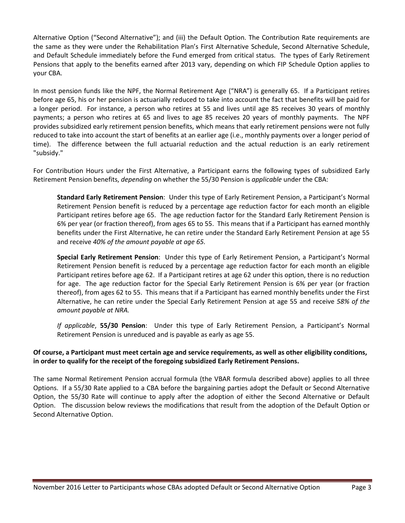Alternative Option ("Second Alternative"); and (iii) the Default Option. The Contribution Rate requirements are the same as they were under the Rehabilitation Plan's First Alternative Schedule, Second Alternative Schedule, and Default Schedule immediately before the Fund emerged from critical status. The types of Early Retirement Pensions that apply to the benefits earned after 2013 vary, depending on which FIP Schedule Option applies to your CBA.

In most pension funds like the NPF, the Normal Retirement Age ("NRA") is generally 65. If a Participant retires before age 65, his or her pension is actuarially reduced to take into account the fact that benefits will be paid for a longer period. For instance, a person who retires at 55 and lives until age 85 receives 30 years of monthly payments; a person who retires at 65 and lives to age 85 receives 20 years of monthly payments. The NPF provides subsidized early retirement pension benefits, which means that early retirement pensions were not fully reduced to take into account the start of benefits at an earlier age (i.e., monthly payments over a longer period of time). The difference between the full actuarial reduction and the actual reduction is an early retirement "subsidy."

For Contribution Hours under the First Alternative, a Participant earns the following types of subsidized Early Retirement Pension benefits, *depending* on whether the 55/30 Pension is *applicable* under the CBA:

**Standard Early Retirement Pension**: Under this type of Early Retirement Pension, a Participant's Normal Retirement Pension benefit is reduced by a percentage age reduction factor for each month an eligible Participant retires before age 65. The age reduction factor for the Standard Early Retirement Pension is 6% per year (or fraction thereof), from ages 65 to 55. This means that if a Participant has earned monthly benefits under the First Alternative, he can retire under the Standard Early Retirement Pension at age 55 and receive *40% of the amount payable at age 65.* 

**Special Early Retirement Pension**: Under this type of Early Retirement Pension, a Participant's Normal Retirement Pension benefit is reduced by a percentage age reduction factor for each month an eligible Participant retires before age 62. If a Participant retires at age 62 under this option, there is no reduction for age. The age reduction factor for the Special Early Retirement Pension is 6% per year (or fraction thereof), from ages 62 to 55. This means that if a Participant has earned monthly benefits under the First Alternative, he can retire under the Special Early Retirement Pension at age 55 and receive *58% of the amount payable at NRA.* 

*If applicable*, **55/30 Pension**: Under this type of Early Retirement Pension, a Participant's Normal Retirement Pension is unreduced and is payable as early as age 55.

## **Of course, a Participant must meet certain age and service requirements, as well as other eligibility conditions, in order to qualify for the receipt of the foregoing subsidized Early Retirement Pensions.**

The same Normal Retirement Pension accrual formula (the VBAR formula described above) applies to all three Options. If a 55/30 Rate applied to a CBA before the bargaining parties adopt the Default or Second Alternative Option, the 55/30 Rate will continue to apply after the adoption of either the Second Alternative or Default Option. The discussion below reviews the modifications that result from the adoption of the Default Option or Second Alternative Option.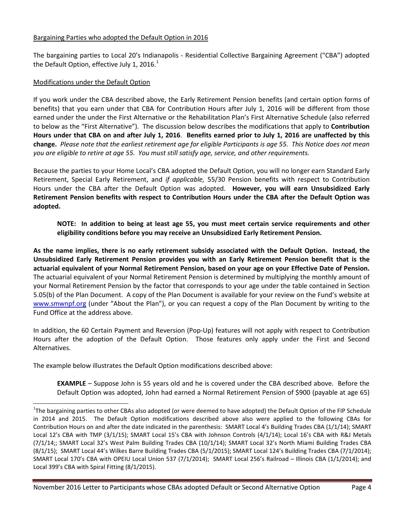#### Bargaining Parties who adopted the Default Option in 2016

The bargaining parties to Local 20's Indianapolis - Residential Collective Bargaining Agreement ("CBA") adopted the Default Option, effective July [1](#page-3-0), 2016.<sup>1</sup>

### Modifications under the Default Option

If you work under the CBA described above, the Early Retirement Pension benefits (and certain option forms of benefits) that you earn under that CBA for Contribution Hours after July 1, 2016 will be different from those earned under the under the First Alternative or the Rehabilitation Plan's First Alternative Schedule (also referred to below as the "First Alternative"). The discussion below describes the modifications that apply to **Contribution Hours under that CBA on and after July 1, 2016**. **Benefits earned prior to July 1, 2016 are unaffected by this change.** *Please note that the earliest retirement age for eligible Participants is age 55. This Notice does not mean you are eligible to retire at age 55. You must still satisfy age, service, and other requirements.* 

Because the parties to your Home Local's CBA adopted the Default Option, you will no longer earn Standard Early Retirement, Special Early Retirement, and *if applicable,* 55/30 Pension benefits with respect to Contribution Hours under the CBA after the Default Option was adopted. **However, you will earn Unsubsidized Early Retirement Pension benefits with respect to Contribution Hours under the CBA after the Default Option was adopted.** 

**NOTE: In addition to being at least age 55, you must meet certain service requirements and other eligibility conditions before you may receive an Unsubsidized Early Retirement Pension.** 

**As the name implies, there is no early retirement subsidy associated with the Default Option. Instead, the Unsubsidized Early Retirement Pension provides you with an Early Retirement Pension benefit that is the actuarial equivalent of your Normal Retirement Pension, based on your age on your Effective Date of Pension.**  The actuarial equivalent of your Normal Retirement Pension is determined by multiplying the monthly amount of your Normal Retirement Pension by the factor that corresponds to your age under the table contained in Section 5.05(b) of the Plan Document. A copy of the Plan Document is available for your review on the Fund's website at [www.smwnpf.org](http://www.smwnpf.org/) (under "About the Plan"), or you can request a copy of the Plan Document by writing to the Fund Office at the address above.

In addition, the 60 Certain Payment and Reversion (Pop-Up) features will not apply with respect to Contribution Hours after the adoption of the Default Option. Those features only apply under the First and Second Alternatives.

The example below illustrates the Default Option modifications described above:

**EXAMPLE** – Suppose John is 55 years old and he is covered under the CBA described above. Before the Default Option was adopted, John had earned a Normal Retirement Pension of \$900 (payable at age 65)

<span id="page-3-0"></span> $\frac{1}{1}$  $1$ The bargaining parties to other CBAs also adopted (or were deemed to have adopted) the Default Option of the FIP Schedule in 2014 and 2015. The Default Option modifications described above also were applied to the following CBAs for Contribution Hours on and after the date indicated in the parenthesis: SMART Local 4's Building Trades CBA (1/1/14); SMART Local 12's CBA with TMP (3/1/15); SMART Local 15's CBA with Johnson Controls (4/1/14); Local 16's CBA with R&J Metals (7/1/14;; SMART Local 32's West Palm Building Trades CBA (10/1/14); SMART Local 32's North Miami Building Trades CBA (8/1/15); SMART Local 44's Wilkes Barre Building Trades CBA (5/1/2015); SMART Local 124's Building Trades CBA (7/1/2014); SMART Local 170's CBA with OPEIU Local Union 537 (7/1/2014); SMART Local 256's Railroad – Illinois CBA (1/1/2014); and Local 399's CBA with Spiral Fitting (8/1/2015).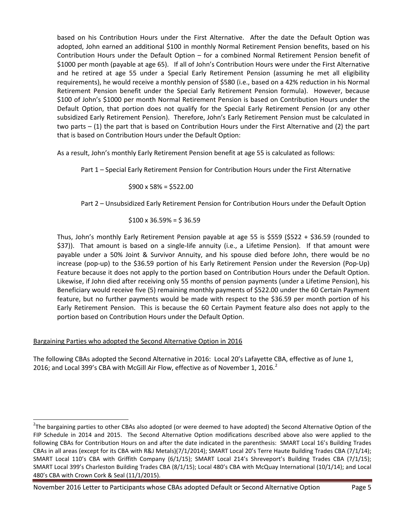based on his Contribution Hours under the First Alternative. After the date the Default Option was adopted, John earned an additional \$100 in monthly Normal Retirement Pension benefits, based on his Contribution Hours under the Default Option – for a combined Normal Retirement Pension benefit of \$1000 per month (payable at age 65). If all of John's Contribution Hours were under the First Alternative and he retired at age 55 under a Special Early Retirement Pension (assuming he met all eligibility requirements), he would receive a monthly pension of \$580 (i.e., based on a 42% reduction in his Normal Retirement Pension benefit under the Special Early Retirement Pension formula). However, because \$100 of John's \$1000 per month Normal Retirement Pension is based on Contribution Hours under the Default Option, that portion does not qualify for the Special Early Retirement Pension (or any other subsidized Early Retirement Pension). Therefore, John's Early Retirement Pension must be calculated in two parts – (1) the part that is based on Contribution Hours under the First Alternative and (2) the part that is based on Contribution Hours under the Default Option:

As a result, John's monthly Early Retirement Pension benefit at age 55 is calculated as follows:

Part 1 – Special Early Retirement Pension for Contribution Hours under the First Alternative

 $$900 \times 58\% = $522.00$ 

Part 2 – Unsubsidized Early Retirement Pension for Contribution Hours under the Default Option

 $$100 \times 36.59\% = $36.59$ 

Thus, John's monthly Early Retirement Pension payable at age 55 is \$559 (\$522 + \$36.59 (rounded to \$37)). That amount is based on a single-life annuity (i.e., a Lifetime Pension). If that amount were payable under a 50% Joint & Survivor Annuity, and his spouse died before John, there would be no increase (pop-up) to the \$36.59 portion of his Early Retirement Pension under the Reversion (Pop-Up) Feature because it does not apply to the portion based on Contribution Hours under the Default Option. Likewise, if John died after receiving only 55 months of pension payments (under a Lifetime Pension), his Beneficiary would receive five (5) remaining monthly payments of \$522.00 under the 60 Certain Payment feature, but no further payments would be made with respect to the \$36.59 per month portion of his Early Retirement Pension. This is because the 60 Certain Payment feature also does not apply to the portion based on Contribution Hours under the Default Option.

# Bargaining Parties who adopted the Second Alternative Option in 2016

The following CBAs adopted the Second Alternative in 2016: Local 20's Lafayette CBA, effective as of June 1, [2](#page-4-0)016; and Local 399's CBA with McGill Air Flow, effective as of November 1, 2016.<sup>2</sup>

November 2016 Letter to Participants whose CBAs adopted Default or Second Alternative Option Page 5

<span id="page-4-0"></span>2 The bargaining parties to other CBAs also adopted (or were deemed to have adopted) the Second Alternative Option of the FIP Schedule in 2014 and 2015. The Second Alternative Option modifications described above also were applied to the following CBAs for Contribution Hours on and after the date indicated in the parenthesis: SMART Local 16's Building Trades CBAs in all areas (except for its CBA with R&J Metals)(7/1/2014); SMART Local 20's Terre Haute Building Trades CBA (7/1/14); SMART Local 110's CBA with Griffith Company (6/1/15); SMART Local 214's Shreveport's Building Trades CBA (7/1/15); SMART Local 399's Charleston Building Trades CBA (8/1/15); Local 480's CBA with McQuay International (10/1/14); and Local 480's CBA with Crown Cork & Seal (11/1/2015).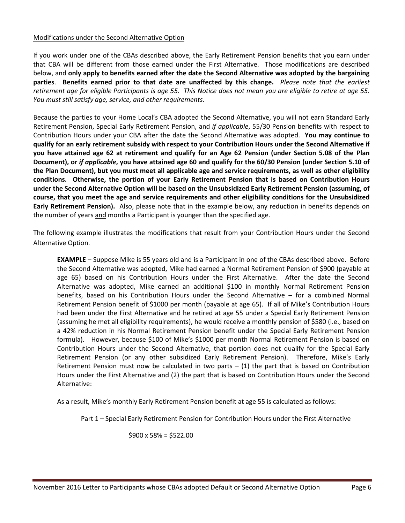#### Modifications under the Second Alternative Option

If you work under one of the CBAs described above, the Early Retirement Pension benefits that you earn under that CBA will be different from those earned under the First Alternative. Those modifications are described below, and **only apply to benefits earned after the date the Second Alternative was adopted by the bargaining parties**. **Benefits earned prior to that date are unaffected by this change.** *Please note that the earliest retirement age for eligible Participants is age 55. This Notice does not mean you are eligible to retire at age 55. You must still satisfy age, service, and other requirements.* 

Because the parties to your Home Local's CBA adopted the Second Alternative, you will not earn Standard Early Retirement Pension, Special Early Retirement Pension, and *if applicable*, 55/30 Pension benefits with respect to Contribution Hours under your CBA after the date the Second Alternative was adopted. **You may continue to qualify for an early retirement subsidy with respect to your Contribution Hours under the Second Alternative if you have attained age 62 at retirement and qualify for an Age 62 Pension (under Section 5.08 of the Plan Document), or** *if applicable***, you have attained age 60 and qualify for the 60/30 Pension (under Section 5.10 of the Plan Document), but you must meet all applicable age and service requirements, as well as other eligibility conditions. Otherwise, the portion of your Early Retirement Pension that is based on Contribution Hours under the Second Alternative Option will be based on the Unsubsidized Early Retirement Pension (assuming, of course, that you meet the age and service requirements and other eligibility conditions for the Unsubsidized Early Retirement Pension).** Also, please note that in the example below, any reduction in benefits depends on the number of years and months a Participant is younger than the specified age.

The following example illustrates the modifications that result from your Contribution Hours under the Second Alternative Option.

**EXAMPLE** – Suppose Mike is 55 years old and is a Participant in one of the CBAs described above. Before the Second Alternative was adopted, Mike had earned a Normal Retirement Pension of \$900 (payable at age 65) based on his Contribution Hours under the First Alternative. After the date the Second Alternative was adopted, Mike earned an additional \$100 in monthly Normal Retirement Pension benefits, based on his Contribution Hours under the Second Alternative – for a combined Normal Retirement Pension benefit of \$1000 per month (payable at age 65). If all of Mike's Contribution Hours had been under the First Alternative and he retired at age 55 under a Special Early Retirement Pension (assuming he met all eligibility requirements), he would receive a monthly pension of \$580 (i.e., based on a 42% reduction in his Normal Retirement Pension benefit under the Special Early Retirement Pension formula). However, because \$100 of Mike's \$1000 per month Normal Retirement Pension is based on Contribution Hours under the Second Alternative, that portion does not qualify for the Special Early Retirement Pension (or any other subsidized Early Retirement Pension). Therefore, Mike's Early Retirement Pension must now be calculated in two parts  $-$  (1) the part that is based on Contribution Hours under the First Alternative and (2) the part that is based on Contribution Hours under the Second Alternative:

As a result, Mike's monthly Early Retirement Pension benefit at age 55 is calculated as follows:

Part 1 – Special Early Retirement Pension for Contribution Hours under the First Alternative

 $$900 \times 58\% = $522.00$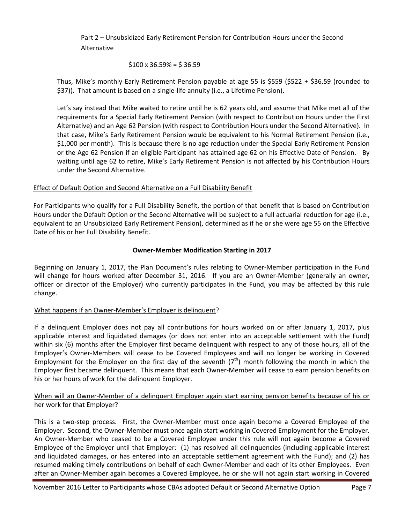Part 2 – Unsubsidized Early Retirement Pension for Contribution Hours under the Second Alternative

$$
$100 \times 36.59\% = $36.59
$$

Thus, Mike's monthly Early Retirement Pension payable at age 55 is \$559 (\$522 + \$36.59 (rounded to \$37)). That amount is based on a single-life annuity (i.e., a Lifetime Pension).

Let's say instead that Mike waited to retire until he is 62 years old, and assume that Mike met all of the requirements for a Special Early Retirement Pension (with respect to Contribution Hours under the First Alternative) and an Age 62 Pension (with respect to Contribution Hours under the Second Alternative). In that case, Mike's Early Retirement Pension would be equivalent to his Normal Retirement Pension (i.e., \$1,000 per month). This is because there is no age reduction under the Special Early Retirement Pension or the Age 62 Pension if an eligible Participant has attained age 62 on his Effective Date of Pension. By waiting until age 62 to retire, Mike's Early Retirement Pension is not affected by his Contribution Hours under the Second Alternative.

## Effect of Default Option and Second Alternative on a Full Disability Benefit

For Participants who qualify for a Full Disability Benefit, the portion of that benefit that is based on Contribution Hours under the Default Option or the Second Alternative will be subject to a full actuarial reduction for age (i.e., equivalent to an Unsubsidized Early Retirement Pension), determined as if he or she were age 55 on the Effective Date of his or her Full Disability Benefit.

## **Owner-Member Modification Starting in 2017**

Beginning on January 1, 2017, the Plan Document's rules relating to Owner-Member participation in the Fund will change for hours worked after December 31, 2016. If you are an Owner-Member (generally an owner, officer or director of the Employer) who currently participates in the Fund, you may be affected by this rule change.

## What happens if an Owner-Member's Employer is delinquent?

If a delinquent Employer does not pay all contributions for hours worked on or after January 1, 2017, plus applicable interest and liquidated damages (or does not enter into an acceptable settlement with the Fund) within six (6) months after the Employer first became delinquent with respect to any of those hours, all of the Employer's Owner-Members will cease to be Covered Employees and will no longer be working in Covered Employment for the Employer on the first day of the seventh  $(7<sup>th</sup>)$  month following the month in which the Employer first became delinquent. This means that each Owner-Member will cease to earn pension benefits on his or her hours of work for the delinquent Employer.

## When will an Owner-Member of a delinquent Employer again start earning pension benefits because of his or her work for that Employer?

This is a two-step process. First, the Owner-Member must once again become a Covered Employee of the Employer. Second, the Owner-Member must once again start working in Covered Employment for the Employer. An Owner-Member who ceased to be a Covered Employee under this rule will not again become a Covered Employee of the Employer until that Employer: (1) has resolved all delinquencies (including applicable interest and liquidated damages, or has entered into an acceptable settlement agreement with the Fund); and (2) has resumed making timely contributions on behalf of each Owner-Member and each of its other Employees. Even after an Owner-Member again becomes a Covered Employee, he or she will not again start working in Covered